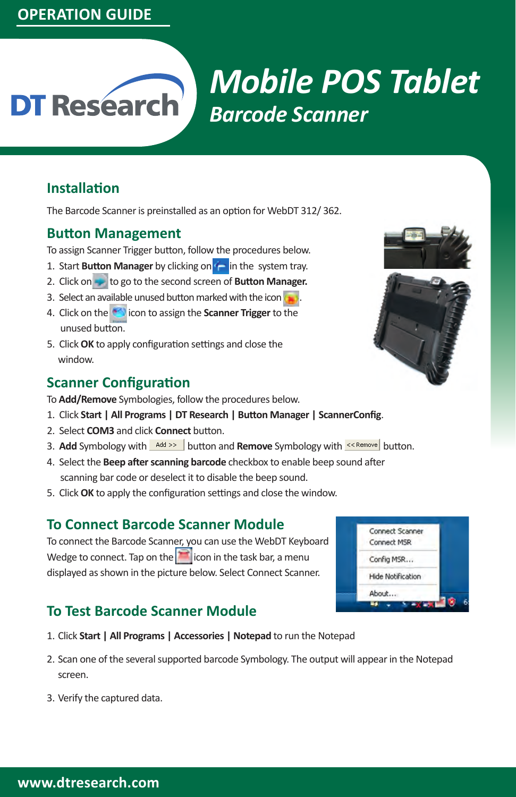# *Mobile POS Tablet* **DT Research** *Barcode Scanner*

## **Installation**

The Barcode Scanner is preinstalled as an option for WebDT 312/ 362.

#### **Button Management**

To assign Scanner Trigger button, follow the procedures below.

- 1. Start **Button Manager** by clicking on **in** the system tray.
- 2. Click on to go to the second screen of **Button Manager.**
- 3. Select an available unused button marked with the icon  $\left( \bullet \right)$
- 4. Click on the **induced** icon to assign the **Scanner Trigger** to the unused button.
- 5. Click **OK** to apply configuration settings and close the window.

#### **Scanner Configuration**

- To **Add/Remove** Symbologies, follow the procedures below.
- 1. Click **Start | All Programs | DT Research | Button Manager | ScannerConfig**.
- 2. Select **COM3** and click **Connect** button.
- 3. Add Symbology with **Add >>** button and **Remove** Symbology with **KING Add Symbology** button.
- 4. Select the **Beep after scanning barcode** checkbox to enable beep sound after scanning bar code or deselect it to disable the beep sound.
- 5. Click **OK** to apply the configuration settings and close the window.

#### **To Connect Barcode Scanner Module**

To connect the Barcode Scanner, you can use the WebDT Keyboard Wedge to connect. Tap on the  $\lvert \cdot \rvert$  icon in the task bar, a menu displayed as shown in the picture below. Select Connect Scanner.

# **To Test Barcode Scanner Module**

- 1. Click **Start | All Programs | Accessories | Notepad** to run the Notepad
- 2. Scan one of the several supported barcode Symbology. The output will appear in the Notepad screen.
- 3. Verify the captured data.



| Connect Scanner          |  |
|--------------------------|--|
| Connect MSR              |  |
| Config MSR               |  |
| <b>Hide Notification</b> |  |
| About                    |  |
|                          |  |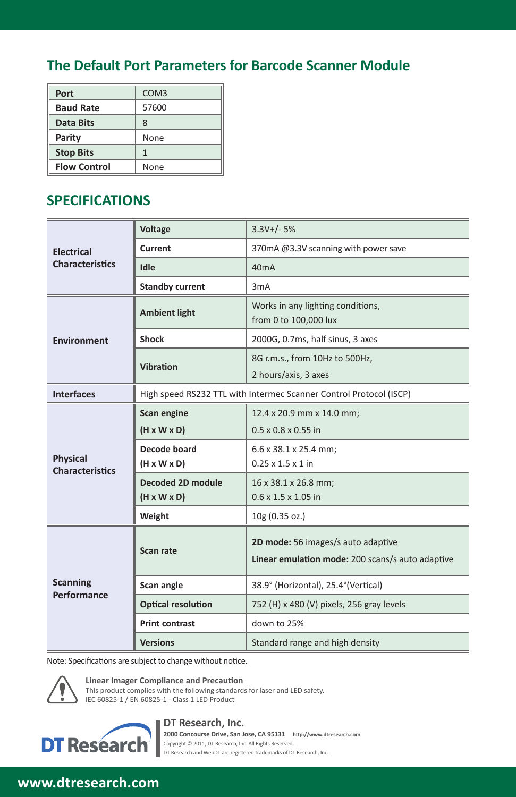# **The Default Port Parameters for Barcode Scanner Module**

| Port                | COM <sub>3</sub> |
|---------------------|------------------|
| <b>Baud Rate</b>    | 57600            |
| Data Bits           | 8                |
| Parity              | None             |
| <b>Stop Bits</b>    |                  |
| <b>Flow Control</b> | None             |

# **SPECIFICATIONS**

|                        | <b>Voltage</b>                                                     | $3.3V+/- 5%$                                               |
|------------------------|--------------------------------------------------------------------|------------------------------------------------------------|
| <b>Electrical</b>      | Current                                                            | 370mA @3.3V scanning with power save                       |
| <b>Characteristics</b> | Idle                                                               | 40mA                                                       |
|                        | <b>Standby current</b>                                             | 3mA                                                        |
|                        | <b>Ambient light</b>                                               | Works in any lighting conditions,<br>from 0 to 100,000 lux |
| <b>Environment</b>     | <b>Shock</b>                                                       | 2000G, 0.7ms, half sinus, 3 axes                           |
|                        | Vibration                                                          | 8G r.m.s., from 10Hz to 500Hz,                             |
|                        |                                                                    | 2 hours/axis, 3 axes                                       |
| <b>Interfaces</b>      | High speed RS232 TTL with Intermec Scanner Control Protocol (ISCP) |                                                            |
|                        | Scan engine                                                        | 12.4 x 20.9 mm x 14.0 mm;                                  |
|                        | $(H \times W \times D)$                                            | $0.5 \times 0.8 \times 0.55$ in                            |
| Physical               | Decode board                                                       | 6.6 x 38.1 x 25.4 mm;                                      |
| <b>Characteristics</b> | $(H \times W \times D)$                                            | $0.25 \times 1.5 \times 1$ in                              |
|                        | <b>Decoded 2D module</b>                                           | 16 x 38.1 x 26.8 mm;                                       |
|                        | $(H \times W \times D)$                                            | $0.6 \times 1.5 \times 1.05$ in                            |
|                        | Weight                                                             | 10g (0.35 oz.)                                             |
|                        |                                                                    | 2D mode: 56 images/s auto adaptive                         |
|                        | Scan rate                                                          | Linear emulation mode: 200 scans/s auto adaptive           |
| <b>Scanning</b>        |                                                                    |                                                            |
| Performance            | Scan angle                                                         | 38.9° (Horizontal), 25.4° (Vertical)                       |
|                        | <b>Optical resolution</b>                                          | 752 (H) x 480 (V) pixels, 256 gray levels                  |
|                        | <b>Print contrast</b>                                              | down to 25%                                                |
|                        | <b>Versions</b>                                                    | Standard range and high density                            |

Note: Specifications are subject to change without notice.



**Linear Imager Compliance and Precaution** This product complies with the following standards for laser and LED safety.

IEC 60825-1 / EN 60825-1 - Class 1 LED Product



**DT Research, Inc. 2000 Concourse Drive, San Jose, CA 95131 http://www.dtresearch.com** Copyright © 2011, DT Research, Inc. All Rights Reserved. DT Research and WebDT are registered trademarks of DT Research, Inc.

#### **WebDT Mobile Tablet Barcode Scanner Operation Guide www.dtresearch.com signage dtri com**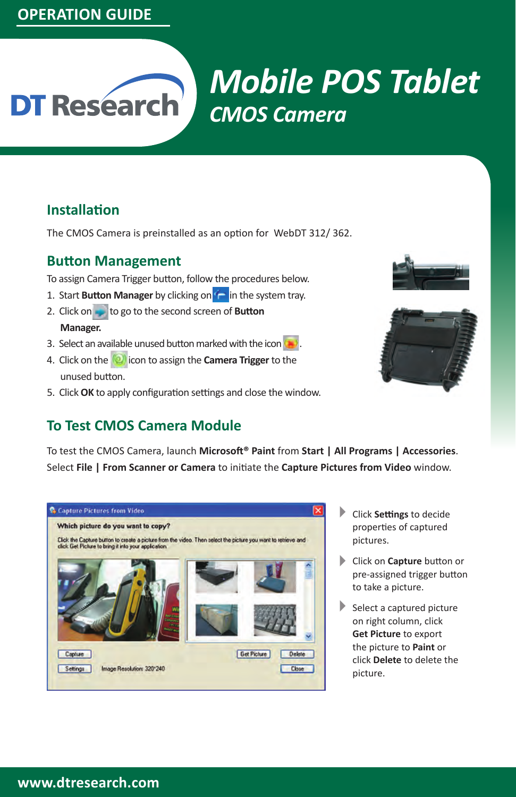# **OPERATION GUIDE**

# *Mobile POS Tablet* **DT Research** *CMOS Camera*

## **Installation**

The CMOS Camera is preinstalled as an option for WebDT 312/ 362.

#### **Button Management**

To assign Camera Trigger button, follow the procedures below.

- 1. Start **Button Manager** by clicking on **in the system tray.**
- 2. Click on to go to the second screen of **Button Manager.**
- 3. Select an available unused button marked with the icon  $\left\langle \bullet \right\rangle$ .
- 4. Click on the **interest in the camera Trigger** to the unused button.
- 5. Click **OK** to apply configuration settings and close the window.





## **To Test CMOS Camera Module**

To test the CMOS Camera, launch **Microsoft® Paint** from **Start | All Programs | Accessories**. Select **File | From Scanner or Camera** to initiate the **Capture Pictures from Video** window.



- Click **Settings** to decide properties of captured pictures.  $\blacktriangleright$
- Click on **Capture** button or 4 pre-assigned trigger button to take a picture.
- $\blacktriangleright$  Select a captured picture on right column, click **Get Picture** to export the picture to **Paint** or click **Delete** to delete the picture.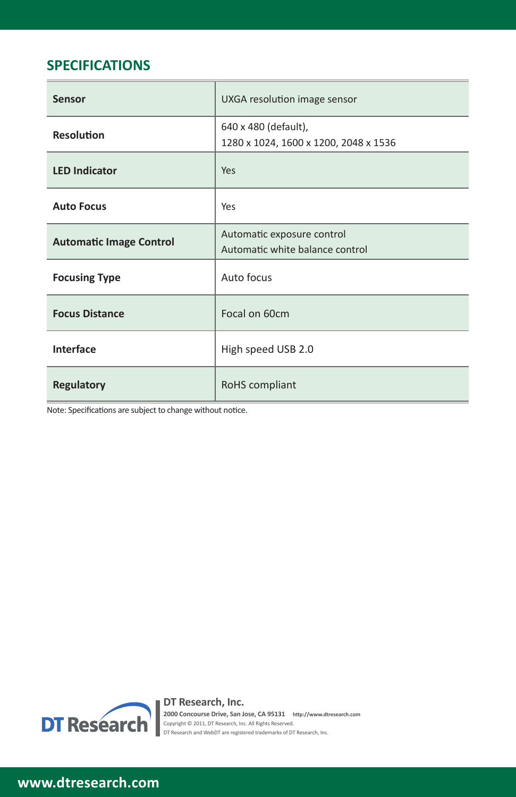# **SPECIFICATIONS**

| Sensor                                                                                                        | UXGA resolution image sensor                                  |
|---------------------------------------------------------------------------------------------------------------|---------------------------------------------------------------|
| <b>Resolution</b>                                                                                             | 640 x 480 (default),<br>1280 x 1024, 1600 x 1200, 2048 x 1536 |
| <b>LED Indicator</b>                                                                                          | Yes                                                           |
| <b>Auto Focus</b>                                                                                             | Yes                                                           |
| <b>Automatic Image Control</b>                                                                                | Automatic exposure control<br>Automatic white balance control |
| <b>Focusing Type</b>                                                                                          | Auto focus                                                    |
| <b>Focus Distance</b>                                                                                         | Focal on 60cm                                                 |
| Interface                                                                                                     | High speed USB 2.0                                            |
| <b>Regulatory</b><br>. Andre Maria (Maria de Santo de Santo), estadounidade de la california de la california | RoHS compliant                                                |

Note: Specifications are subject to change without notice.



**DT Research, Inc.**<br>2000 Concourse Drive, San Jose, CA 95131 http://www.dtresearch.com<br>Copyright © 2011, DT Research, Inc. All Rights Reserved.<br>DT Research and WebDT are registered trademarks of DT Research, Inc.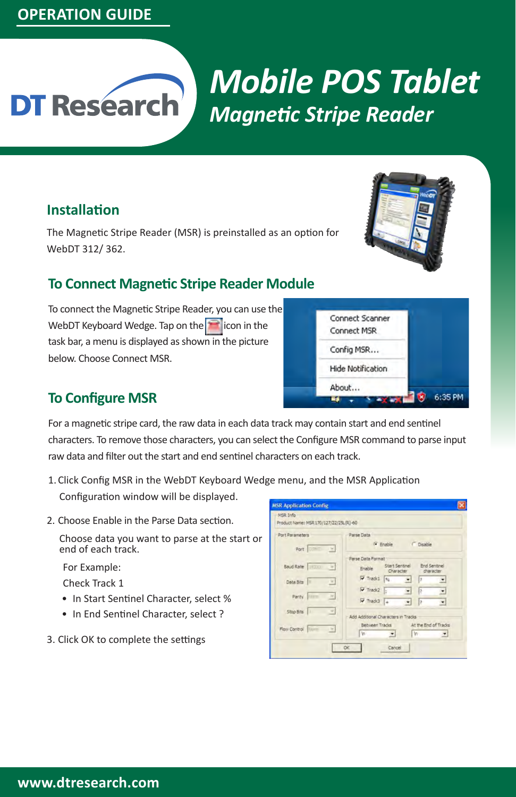# **OPERATION GUIDE**

# *Mobile POS Tablet* **DT Research** *Magnetic Stripe Reader*

#### **Installation**

The Magnetic Stripe Reader (MSR) is preinstalled as an option for WebDT 312/ 362.

# **To Connect Magnetic Stripe Reader Module**

To connect the Magnetic Stripe Reader, you can use the WebDT Keyboard Wedge. Tap on the  $\Box$  icon in the task bar, a menu is displayed as shown in the picture below. Choose Connect MSR.



6:35 PM

# **To Configure MSR**

For a magnetic stripe card, the raw data in each data track may contain start and end sentinel characters. To remove those characters, you can select the Configure MSR command to parse input raw data and filter out the start and end sentinel characters on each track.

1.Click Config MSR in the WebDT Keyboard Wedge menu, and the MSR Application

Configuration window will be displayed.

2. Choose Enable in the Parse Data section.

Choose data you want to parse at the start or end of each track.

For Example:

Check Track 1

- In Start Sentinel Character, select %
- In End Sentinel Character, select ?
- 3. Click OK to complete the settings

| Port Parameters                       | Parse Data                                                                                         |
|---------------------------------------|----------------------------------------------------------------------------------------------------|
| Port DIRECT W.                        | <sup>(a</sup> Enable<br>C Disable                                                                  |
|                                       | Parse Data Format                                                                                  |
| Baud Rate<br>$\rightarrow$            | <b>End Sentinel</b><br>Start Sentinel<br>Frable:<br>Character<br>character                         |
| Data Bits<br>CH)                      | $\nabla$ Track1 $s_i$<br>$\blacksquare$<br>Б<br>▾                                                  |
|                                       | $\nabla$ Track2 :<br>۰<br>Þ<br>회                                                                   |
| $\mathcal{H}$<br>Parity <i>[1899]</i> | $\nabla$ Tradc3 $\left _{\text{d}}\right $<br>$\overline{\phantom{a}}$<br>$\overline{\phantom{a}}$ |
| Stop Bits<br>늰                        | Add Additional Characters in Tracks                                                                |
|                                       | At the End of Trades<br>Between Tracks                                                             |

Connect Scanner Connect MSR Config MSR... Hide Notification About...

v av a

T.